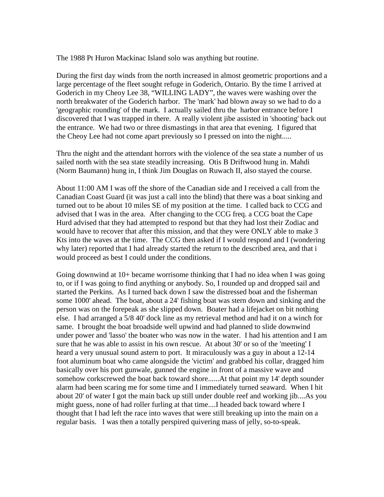The 1988 Pt Huron Mackinac Island solo was anything but routine.

During the first day winds from the north increased in almost geometric proportions and a large percentage of the fleet sought refuge in Goderich, Ontario. By the time I arrived at Goderich in my Cheoy Lee 38, "WILLING LADY", the waves were washing over the north breakwater of the Goderich harbor. The 'mark' had blown away so we had to do a 'geographic rounding' of the mark. I actually sailed thru the harbor entrance before I discovered that I was trapped in there. A really violent jibe assisted in 'shooting' back out the entrance. We had two or three dismastings in that area that evening. I figured that the Cheoy Lee had not come apart previously so I pressed on into the night.....

Thru the night and the attendant horrors with the violence of the sea state a number of us sailed north with the sea state steadily increasing. Otis B Driftwood hung in. Mahdi (Norm Baumann) hung in, I think Jim Douglas on Ruwach II, also stayed the course.

About 11:00 AM I was off the shore of the Canadian side and I received a call from the Canadian Coast Guard (it was just a call into the blind) that there was a boat sinking and turned out to be about 10 miles SE of my position at the time. I called back to CCG and advised that I was in the area. After changing to the CCG freq. a CCG boat the Cape Hurd advised that they had attempted to respond but that they had lost their Zodiac and would have to recover that after this mission, and that they were ONLY able to make 3 Kts into the waves at the time. The CCG then asked if I would respond and I (wondering why later) reported that I had already started the return to the described area, and that i would proceed as best I could under the conditions.

Going downwind at 10+ became worrisome thinking that I had no idea when I was going to, or if I was going to find anything or anybody. So, I rounded up and dropped sail and started the Perkins. As I turned back down I saw the distressed boat and the fisherman some 1000' ahead. The boat, about a 24' fishing boat was stern down and sinking and the person was on the forepeak as she slipped down. Boater had a lifejacket on bit nothing else. I had arranged a 5/8 40' dock line as my retrieval method and had it on a winch for same. I brought the boat broadside well upwind and had planned to slide downwind under power and 'lasso' the boater who was now in the water. I had his attention and I am sure that he was able to assist in his own rescue. At about 30' or so of the 'meeting' I heard a very unusual sound astern to port. It miraculously was a guy in about a 12-14 foot aluminum boat who came alongside the 'victim' and grabbed his collar, dragged him basically over his port gunwale, gunned the engine in front of a massive wave and somehow corkscrewed the boat back toward shore......At that point my 14' depth sounder alarm had been scaring me for some time and I immediately turned seaward. When I hit about 20' of water I got the main back up still under double reef and working jib....As you might guess, none of had roller furling at that time....I headed back toward where I thought that I had left the race into waves that were still breaking up into the main on a regular basis. I was then a totally perspired quivering mass of jelly, so-to-speak.